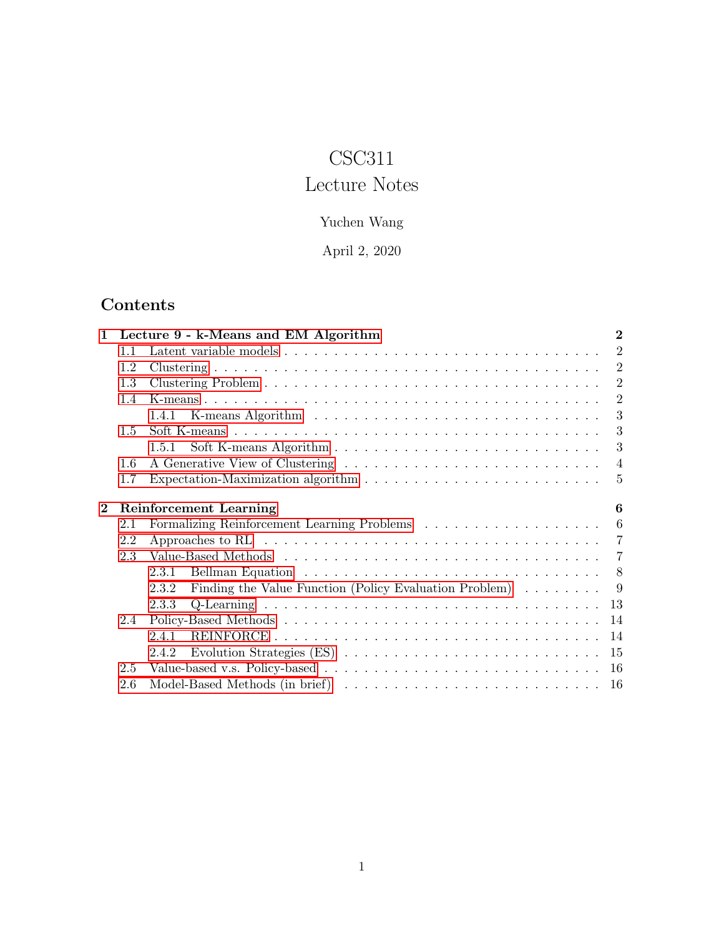# CSC311

# Lecture Notes

## Yuchen Wang

April 2, 2020

# <span id="page-0-0"></span>Contents

| 1              |     | Lecture 9 - k-Means and EM Algorithm                                                                | $\overline{2}$ |
|----------------|-----|-----------------------------------------------------------------------------------------------------|----------------|
|                | 1.1 |                                                                                                     | $\overline{2}$ |
|                | 1.2 |                                                                                                     | $\overline{2}$ |
|                | 1.3 |                                                                                                     | $\overline{2}$ |
|                | 1.4 |                                                                                                     | 2              |
|                |     | 1.4.1                                                                                               | 3              |
|                | 1.5 |                                                                                                     | 3              |
|                |     | 1.5.1                                                                                               | 3              |
|                | 1.6 |                                                                                                     | $\overline{4}$ |
|                | 1.7 | Expectation-Maximization algorithm $\dots \dots \dots \dots \dots \dots \dots \dots \dots \dots$    | $\overline{5}$ |
| $\overline{2}$ |     | <b>Reinforcement Learning</b>                                                                       | 6              |
|                | 2.1 |                                                                                                     | - 6            |
|                | 2.2 | Approaches to RL $\ldots \ldots \ldots \ldots \ldots \ldots \ldots \ldots \ldots \ldots \ldots$     |                |
|                |     |                                                                                                     |                |
|                | 2.3 |                                                                                                     |                |
|                |     | 2.3.1                                                                                               |                |
|                |     | Finding the Value Function (Policy Evaluation Problem) $\ldots \ldots$<br>2.3.2                     | - 9            |
|                |     | 2.3.3                                                                                               | 13             |
|                | 2.4 |                                                                                                     | 14             |
|                |     | 2.4.1                                                                                               | 14             |
|                |     | Evolution Strategies $(ES) \ldots \ldots \ldots \ldots \ldots \ldots \ldots \ldots \ldots$<br>2.4.2 | -15            |
|                | 2.5 |                                                                                                     |                |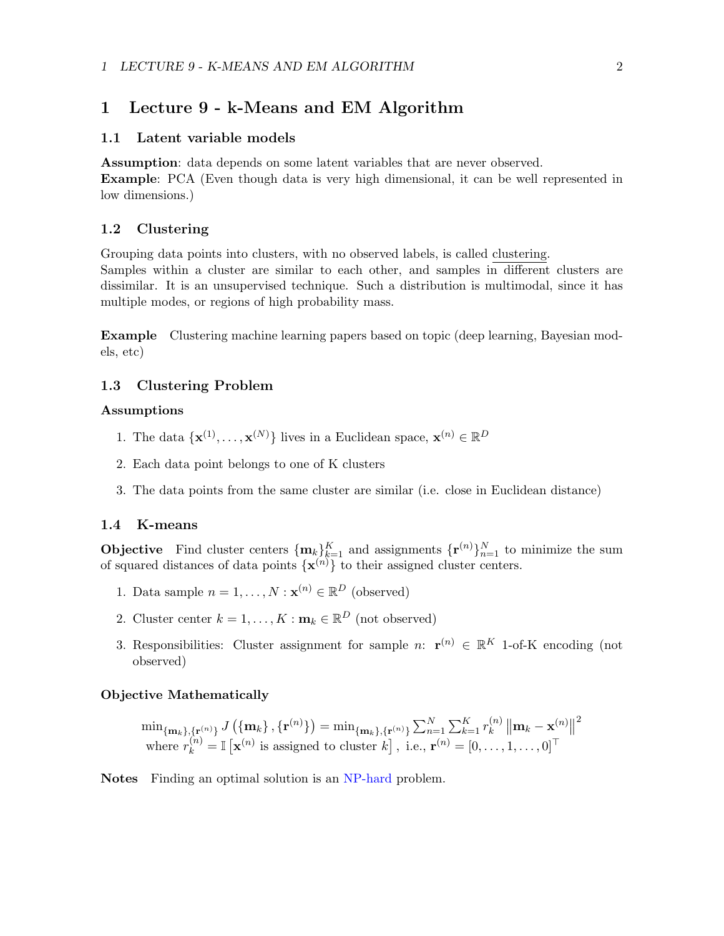### 1 LECTURE 9 - K-MEANS AND EM ALGORITHM 2

### <span id="page-1-0"></span>1 Lecture 9 - k-Means and EM Algorithm

### <span id="page-1-1"></span>1.1 Latent variable models

Assumption: data depends on some latent variables that are never observed. Example: PCA (Even though data is very high dimensional, it can be well represented in low dimensions.)

### <span id="page-1-2"></span>1.2 Clustering

Grouping data points into clusters, with no observed labels, is called clustering.

Samples within a cluster are similar to each other, and samples in different clusters are dissimilar. It is an unsupervised technique. Such a distribution is multimodal, since it has multiple modes, or regions of high probability mass.

Example Clustering machine learning papers based on topic (deep learning, Bayesian models, etc)

### <span id="page-1-3"></span>1.3 Clustering Problem

### Assumptions

- 1. The data  $\{ \mathbf{x}^{(1)}, \ldots, \mathbf{x}^{(N)} \}$  lives in a Euclidean space,  $\mathbf{x}^{(n)} \in \mathbb{R}^D$
- 2. Each data point belongs to one of K clusters
- 3. The data points from the same cluster are similar (i.e. close in Euclidean distance)

### <span id="page-1-4"></span>1.4 K-means

**Objective** Find cluster centers  $\{\mathbf{m}_k\}_{k=1}^K$  and assignments  $\{\mathbf{r}^{(n)}\}_{n=1}^N$  to minimize the sum of squared distances of data points  $\{x^{(n)}\}$  to their assigned cluster centers.

- 1. Data sample  $n = 1, ..., N : \mathbf{x}^{(n)} \in \mathbb{R}^D$  (observed)
- 2. Cluster center  $k = 1, ..., K : \mathbf{m}_k \in \mathbb{R}^D$  (not observed)
- 3. Responsibilities: Cluster assignment for sample n:  $\mathbf{r}^{(n)} \in \mathbb{R}^{K}$  1-of-K encoding (not observed)

### Objective Mathematically

$$
\min\{\mathbf{m}_k\}, \{\mathbf{r}^{(n)}\} \cup \{\{\mathbf{m}_k\}, \{\mathbf{r}^{(n)}\}\} = \min\{\mathbf{m}_k\}, \{\mathbf{r}^{(n)}\} \sum_{n=1}^N \sum_{k=1}^K r_k^{(n)} \left\|\mathbf{m}_k - \mathbf{x}^{(n)}\right\|^2
$$
\nwhere  $r_k^{(n)} = \mathbb{I}\left[\mathbf{x}^{(n)}$  is assigned to cluster  $k\right]$ , i.e.,  $\mathbf{r}^{(n)} = [0, \dots, 1, \dots, 0]^{\top}$ 

Notes Finding an optimal solution is an NP-hard problem.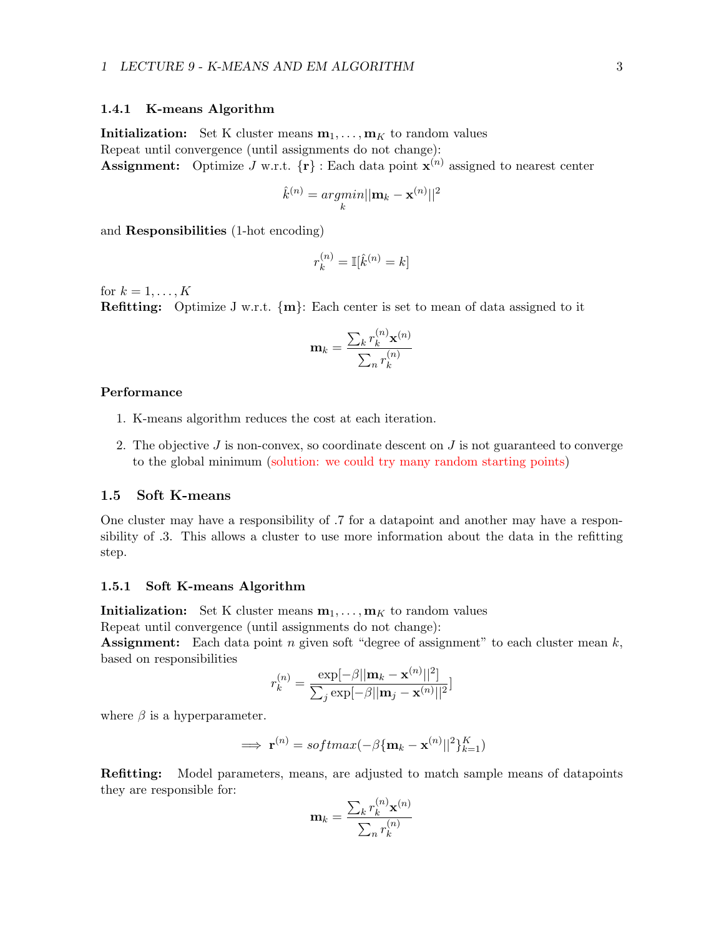### <span id="page-2-0"></span>1.4.1 K-means Algorithm

**Initialization:** Set K cluster means  $\mathbf{m}_1, \ldots, \mathbf{m}_K$  to random values Repeat until convergence (until assignments do not change): **Assignment:** Optimize J w.r.t.  $\{r\}$ : Each data point  $x^{(n)}$  assigned to nearest center

$$
\hat{k}^{(n)} = \underset{k}{argmin} ||\mathbf{m}_k - \mathbf{x}^{(n)}||^2
$$

and Responsibilities (1-hot encoding)

$$
r_k^{(n)} = \mathbb{I}[\hat{k}^{(n)} = k]
$$

for  $k = 1, \ldots, K$ 

**Refitting:** Optimize J w.r.t.  $\{m\}$ : Each center is set to mean of data assigned to it

$$
\mathbf{m}_{k} = \frac{\sum_{k} r_{k}^{(n)} \mathbf{x}^{(n)}}{\sum_{n} r_{k}^{(n)}}
$$

### Performance

- 1. K-means algorithm reduces the cost at each iteration.
- 2. The objective  $J$  is non-convex, so coordinate descent on  $J$  is not guaranteed to converge to the global minimum (solution: we could try many random starting points)

### <span id="page-2-1"></span>1.5 Soft K-means

One cluster may have a responsibility of .7 for a datapoint and another may have a responsibility of .3. This allows a cluster to use more information about the data in the refitting step.

### <span id="page-2-2"></span>1.5.1 Soft K-means Algorithm

**Initialization:** Set K cluster means  $\mathbf{m}_1, \ldots, \mathbf{m}_K$  to random values

Repeat until convergence (until assignments do not change):

**Assignment:** Each data point n given soft "degree of assignment" to each cluster mean  $k$ , based on responsibilities

$$
r_k^{(n)} = \frac{\exp[-\beta||\mathbf{m}_k - \mathbf{x}^{(n)}||^2]}{\sum_j \exp[-\beta||\mathbf{m}_j - \mathbf{x}^{(n)}||^2]}
$$

where  $\beta$  is a hyperparameter.

$$
\implies \mathbf{r}^{(n)} = softmax(-\beta \{\mathbf{m}_k - \mathbf{x}^{(n)}||^2\}_{k=1}^K)
$$

Refitting: Model parameters, means, are adjusted to match sample means of datapoints they are responsible for:

$$
\mathbf{m}_k = \frac{\sum_k r_k^{(n)} \mathbf{x}^{(n)}}{\sum_n r_k^{(n)}}
$$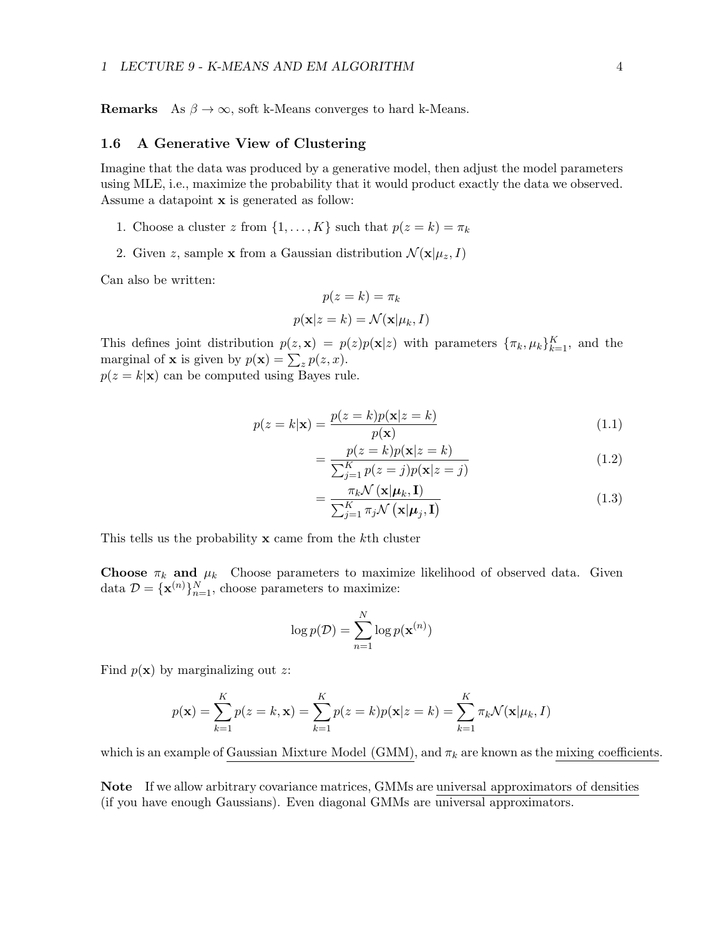**Remarks** As  $\beta \to \infty$ , soft k-Means converges to hard k-Means.

### <span id="page-3-0"></span>1.6 A Generative View of Clustering

Imagine that the data was produced by a generative model, then adjust the model parameters using MLE, i.e., maximize the probability that it would product exactly the data we observed. Assume a datapoint x is generated as follow:

- 1. Choose a cluster z from  $\{1, \ldots, K\}$  such that  $p(z = k) = \pi_k$
- 2. Given z, sample x from a Gaussian distribution  $\mathcal{N}(\mathbf{x}|\mu_z, I)$

Can also be written:

$$
p(z = k) = \pi_k
$$

$$
p(\mathbf{x}|z = k) = \mathcal{N}(\mathbf{x}|\mu_k, I)
$$

This defines joint distribution  $p(z, \mathbf{x}) = p(z)p(\mathbf{x}|z)$  with parameters  $\{\pi_k, \mu_k\}_{k=1}^K$ , and the marginal of **x** is given by  $p(\mathbf{x}) = \sum_{z} p(z, x)$ .

 $p(z = k|\mathbf{x})$  can be computed using Bayes rule.

$$
p(z=k|\mathbf{x}) = \frac{p(z=k)p(\mathbf{x}|z=k)}{p(\mathbf{x})}
$$
\n(1.1)

$$
= \frac{p(z=k)p(\mathbf{x}|z=k)}{\sum_{j=1}^{K} p(z=j)p(\mathbf{x}|z=j)}
$$
(1.2)

$$
=\frac{\pi_k \mathcal{N}\left(\mathbf{x}|\boldsymbol{\mu}_k,\mathbf{I}\right)}{\sum_{j=1}^K \pi_j \mathcal{N}\left(\mathbf{x}|\boldsymbol{\mu}_j,\mathbf{I}\right)}
$$
(1.3)

This tells us the probability  $x$  came from the k<sup>th</sup> cluster

**Choose**  $\pi_k$  and  $\mu_k$  Choose parameters to maximize likelihood of observed data. Given data  $\mathcal{D} = {\mathbf{x}^{(n)}}_{n=1}^N$ , choose parameters to maximize:

$$
\log p(\mathcal{D}) = \sum_{n=1}^{N} \log p(\mathbf{x}^{(n)})
$$

Find  $p(x)$  by marginalizing out z:

$$
p(\mathbf{x}) = \sum_{k=1}^{K} p(z = k, \mathbf{x}) = \sum_{k=1}^{K} p(z = k) p(\mathbf{x}|z = k) = \sum_{k=1}^{K} \pi_k \mathcal{N}(\mathbf{x}|\mu_k, I)
$$

which is an example of Gaussian Mixture Model (GMM), and  $\pi_k$  are known as the mixing coefficients.

Note If we allow arbitrary covariance matrices, GMMs are universal approximators of densities (if you have enough Gaussians). Even diagonal GMMs are universal approximators.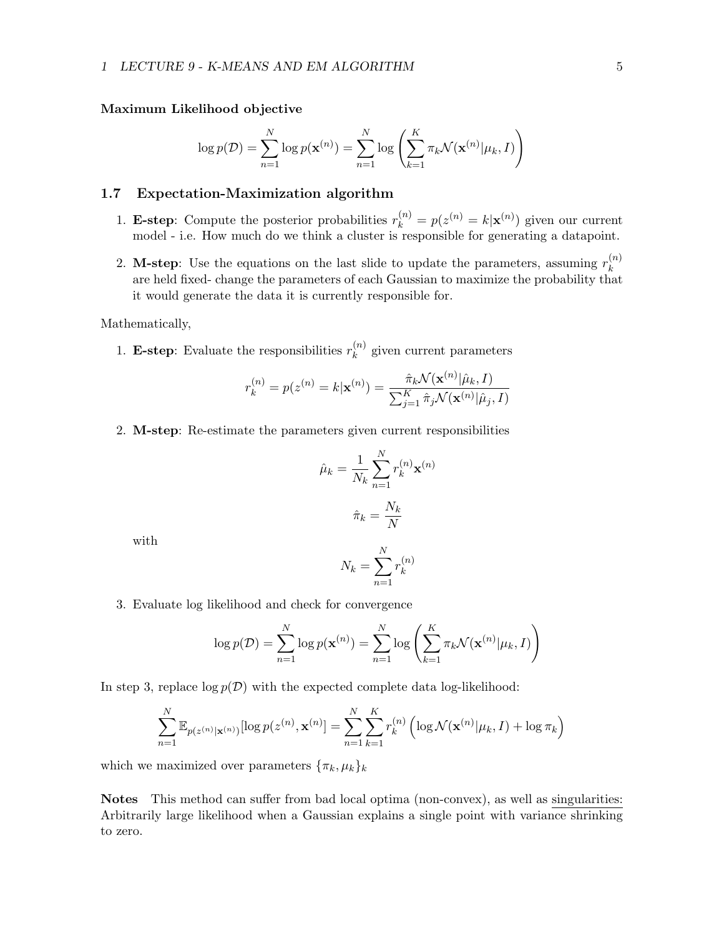### Maximum Likelihood objective

$$
\log p(\mathcal{D}) = \sum_{n=1}^{N} \log p(\mathbf{x}^{(n)}) = \sum_{n=1}^{N} \log \left( \sum_{k=1}^{K} \pi_k \mathcal{N}(\mathbf{x}^{(n)} | \mu_k, I) \right)
$$

### <span id="page-4-0"></span>1.7 Expectation-Maximization algorithm

- 1. **E-step**: Compute the posterior probabilities  $r_k^{(n)} = p(z^{(n)} = k | \mathbf{x}^{(n)})$  given our current model - i.e. How much do we think a cluster is responsible for generating a datapoint.
- 2. M-step: Use the equations on the last slide to update the parameters, assuming  $r_k^{(n)}$ k are held fixed- change the parameters of each Gaussian to maximize the probability that it would generate the data it is currently responsible for.

### Mathematically,

1. E-step: Evaluate the responsibilities  $r_k^{(n)}$  $k^{(n)}$  given current parameters

$$
r_k^{(n)} = p(z^{(n)} = k | \mathbf{x}^{(n)}) = \frac{\hat{\pi}_k \mathcal{N}(\mathbf{x}^{(n)} | \hat{\mu}_k, I)}{\sum_{j=1}^K \hat{\pi}_j \mathcal{N}(\mathbf{x}^{(n)} | \hat{\mu}_j, I)}
$$

2. M-step: Re-estimate the parameters given current responsibilities

$$
\hat{\mu}_k = \frac{1}{N_k} \sum_{n=1}^N r_k^{(n)} \mathbf{x}^{(n)}
$$

$$
\hat{\pi}_k = \frac{N_k}{N}
$$

with

$$
N_k = \sum_{n=1}^{N} r_k^{(n)}
$$

3. Evaluate log likelihood and check for convergence

$$
\log p(\mathcal{D}) = \sum_{n=1}^{N} \log p(\mathbf{x}^{(n)}) = \sum_{n=1}^{N} \log \left( \sum_{k=1}^{K} \pi_k \mathcal{N}(\mathbf{x}^{(n)} | \mu_k, I) \right)
$$

In step 3, replace  $\log p(\mathcal{D})$  with the expected complete data log-likelihood:

$$
\sum_{n=1}^{N} \mathbb{E}_{p(z^{(n)}|\mathbf{x}^{(n)})}[\log p(z^{(n)}, \mathbf{x}^{(n)}] = \sum_{n=1}^{N} \sum_{k=1}^{K} r_k^{(n)} \left( \log \mathcal{N}(\mathbf{x}^{(n)}|\mu_k, I) + \log \pi_k \right)
$$

which we maximized over parameters  $\{\pi_k, \mu_k\}_k$ 

Notes This method can suffer from bad local optima (non-convex), as well as singularities: Arbitrarily large likelihood when a Gaussian explains a single point with variance shrinking to zero.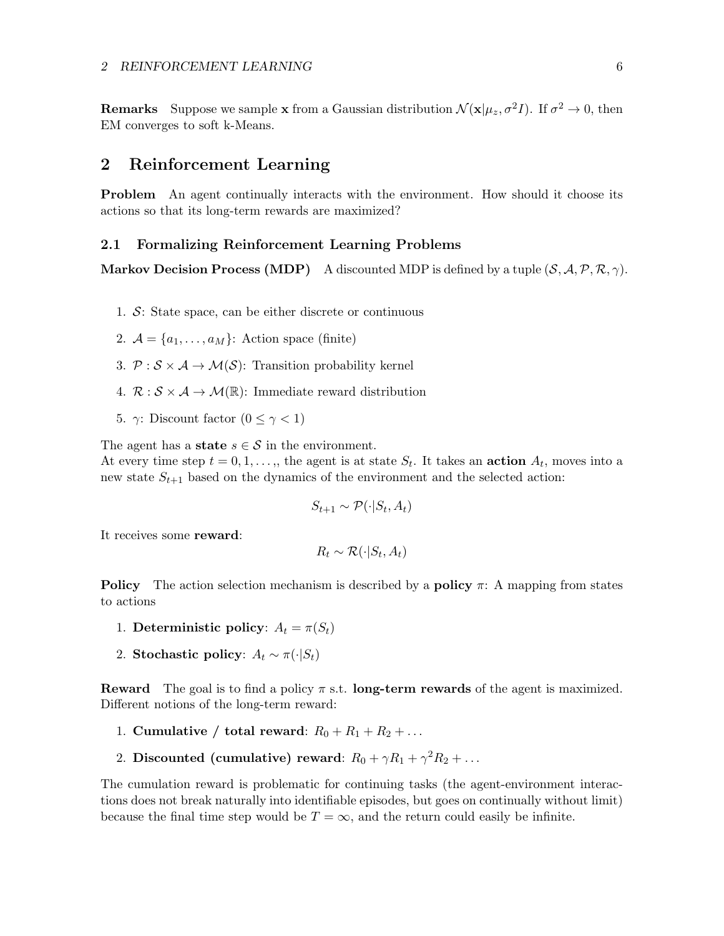**Remarks** Suppose we sample **x** from a Gaussian distribution  $\mathcal{N}(\mathbf{x}|\mu_z, \sigma^2 I)$ . If  $\sigma^2 \to 0$ , then EM converges to soft k-Means.

### <span id="page-5-0"></span>2 Reinforcement Learning

Problem An agent continually interacts with the environment. How should it choose its actions so that its long-term rewards are maximized?

### <span id="page-5-1"></span>2.1 Formalizing Reinforcement Learning Problems

**Markov Decision Process (MDP)** A discounted MDP is defined by a tuple  $(S, \mathcal{A}, \mathcal{P}, \mathcal{R}, \gamma)$ .

- 1. S: State space, can be either discrete or continuous
- 2.  $\mathcal{A} = \{a_1, \ldots, a_M\}$ : Action space (finite)
- 3.  $P : S \times A \rightarrow M(S)$ : Transition probability kernel
- 4.  $\mathcal{R}: \mathcal{S} \times \mathcal{A} \rightarrow \mathcal{M}(\mathbb{R})$ : Immediate reward distribution
- 5. γ: Discount factor  $(0 \leq \gamma < 1)$

The agent has a **state**  $s \in \mathcal{S}$  in the environment.

At every time step  $t = 0, 1, \ldots,$ , the agent is at state  $S_t$ . It takes an **action**  $A_t$ , moves into a new state  $S_{t+1}$  based on the dynamics of the environment and the selected action:

$$
S_{t+1} \sim \mathcal{P}(\cdot | S_t, A_t)
$$

It receives some reward:

$$
R_t \sim \mathcal{R}(\cdot | S_t, A_t)
$$

**Policy** The action selection mechanism is described by a **policy**  $\pi$ : A mapping from states to actions

- 1. Deterministic policy:  $A_t = \pi(S_t)$
- 2. Stochastic policy:  $A_t \sim \pi(\cdot | S_t)$

**Reward** The goal is to find a policy  $\pi$  s.t. **long-term rewards** of the agent is maximized. Different notions of the long-term reward:

- 1. Cumulative / total reward:  $R_0 + R_1 + R_2 + \ldots$
- 2. Discounted (cumulative) reward:  $R_0 + \gamma R_1 + \gamma^2 R_2 + \dots$

The cumulation reward is problematic for continuing tasks (the agent-environment interactions does not break naturally into identifiable episodes, but goes on continually without limit) because the final time step would be  $T = \infty$ , and the return could easily be infinite.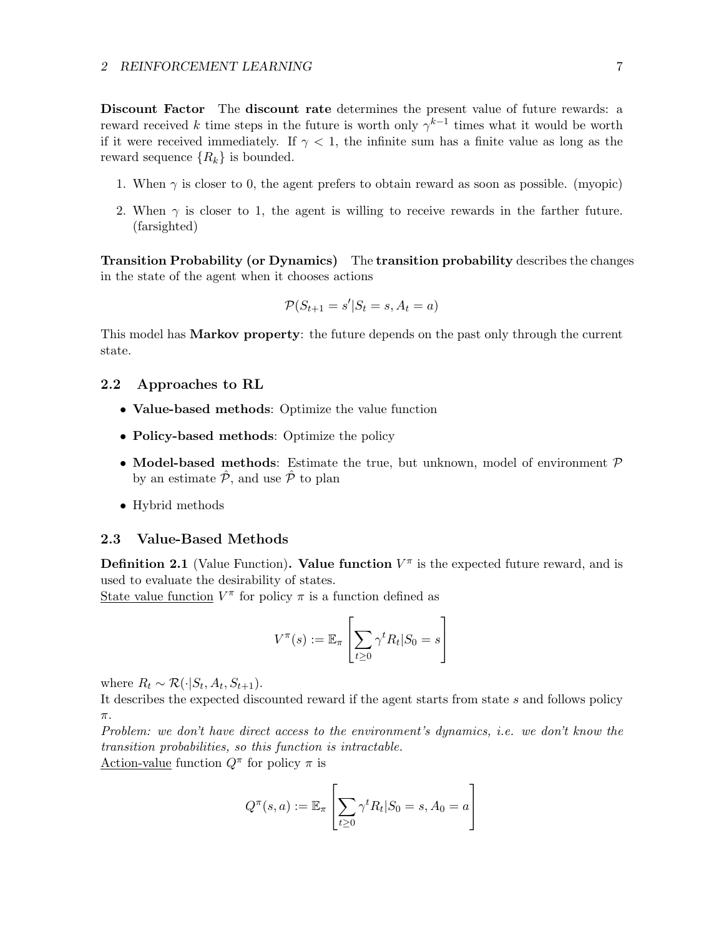Discount Factor The discount rate determines the present value of future rewards: a reward received k time steps in the future is worth only  $\gamma^{k-1}$  times what it would be worth if it were received immediately. If  $\gamma$  < 1, the infinite sum has a finite value as long as the reward sequence  $\{R_k\}$  is bounded.

- 1. When  $\gamma$  is closer to 0, the agent prefers to obtain reward as soon as possible. (myopic)
- 2. When  $\gamma$  is closer to 1, the agent is willing to receive rewards in the farther future. (farsighted)

Transition Probability (or Dynamics) The transition probability describes the changes in the state of the agent when it chooses actions

$$
\mathcal{P}(S_{t+1} = s'|S_t = s, A_t = a)
$$

This model has Markov property: the future depends on the past only through the current state.

### <span id="page-6-0"></span>2.2 Approaches to RL

- Value-based methods: Optimize the value function
- Policy-based methods: Optimize the policy
- Model-based methods: Estimate the true, but unknown, model of environment  $\mathcal P$ by an estimate  $\hat{\mathcal{P}}$ , and use  $\hat{\mathcal{P}}$  to plan
- Hybrid methods

### <span id="page-6-1"></span>2.3 Value-Based Methods

**Definition 2.1** (Value Function). Value function  $V^{\pi}$  is the expected future reward, and is used to evaluate the desirability of states.

State value function  $V^{\pi}$  for policy  $\pi$  is a function defined as

$$
V^{\pi}(s) := \mathbb{E}_{\pi} \left[ \sum_{t \geq 0} \gamma^{t} R_{t} | S_{0} = s \right]
$$

where  $R_t \sim \mathcal{R}(\cdot | S_t, A_t, S_{t+1}).$ 

It describes the expected discounted reward if the agent starts from state s and follows policy π.

Problem: we don't have direct access to the environment's dynamics, i.e. we don't know the transition probabilities, so this function is intractable.

Action-value function  $Q^{\pi}$  for policy  $\pi$  is

$$
Q^{\pi}(s, a) := \mathbb{E}_{\pi} \left[ \sum_{t \geq 0} \gamma^t R_t | S_0 = s, A_0 = a \right]
$$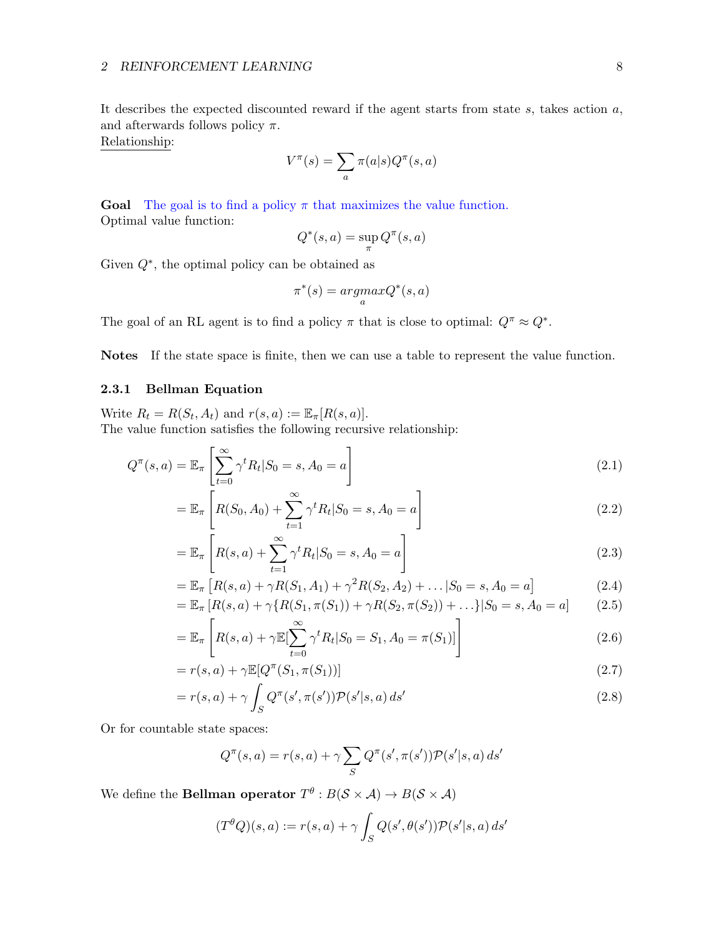It describes the expected discounted reward if the agent starts from state  $s$ , takes action  $a$ , and afterwards follows policy  $\pi$ .

Relationship:

$$
V^{\pi}(s) = \sum_{a} \pi(a|s) Q^{\pi}(s, a)
$$

**Goal** The goal is to find a policy  $\pi$  that maximizes the value function. Optimal value function:

$$
Q^*(s, a) = \sup_{\pi} Q^{\pi}(s, a)
$$

Given  $Q^*$ , the optimal policy can be obtained as

$$
\pi^*(s) = \underset{a}{argmax} Q^*(s, a)
$$

The goal of an RL agent is to find a policy  $\pi$  that is close to optimal:  $Q^{\pi} \approx Q^*$ .

Notes If the state space is finite, then we can use a table to represent the value function.

### <span id="page-7-0"></span>2.3.1 Bellman Equation

Write  $R_t = R(S_t, A_t)$  and  $r(s, a) := \mathbb{E}_{\pi}[R(s, a)].$ The value function satisfies the following recursive relationship:

$$
Q^{\pi}(s,a) = \mathbb{E}_{\pi} \left[ \sum_{t=0}^{\infty} \gamma^t R_t | S_0 = s, A_0 = a \right]
$$
\n(2.1)

$$
= \mathbb{E}_{\pi} \left[ R(S_0, A_0) + \sum_{t=1}^{\infty} \gamma^t R_t | S_0 = s, A_0 = a \right]
$$
 (2.2)

$$
= \mathbb{E}_{\pi} \left[ R(s, a) + \sum_{t=1}^{\infty} \gamma^t R_t | S_0 = s, A_0 = a \right]
$$
 (2.3)

$$
= \mathbb{E}_{\pi} \left[ R(s, a) + \gamma R(S_1, A_1) + \gamma^2 R(S_2, A_2) + \dots | S_0 = s, A_0 = a \right]
$$
(2.4)  

$$
= \mathbb{E}_{\pi} \left[ R(s, a) + \gamma R(S_1, A_1) + \gamma^2 R(S_2, A_2) + \dots | S_0 = s, A_0 = a \right]
$$
(2.5)

$$
= \mathbb{E}_{\pi} \left[ R(s, a) + \gamma \{ R(S_1, \pi(S_1)) + \gamma R(S_2, \pi(S_2)) + \ldots \} | S_0 = s, A_0 = a \right]
$$
 (2.5)

$$
= \mathbb{E}_{\pi} \left[ R(s, a) + \gamma \mathbb{E}[\sum_{t=0}^{\infty} \gamma^t R_t | S_0 = S_1, A_0 = \pi(S_1)] \right]
$$
 (2.6)

$$
= r(s,a) + \gamma \mathbb{E}[Q^{\pi}(S_1, \pi(S_1))]
$$
\n
$$
(2.7)
$$

$$
= r(s,a) + \gamma \int_{S} Q^{\pi}(s', \pi(s')) \mathcal{P}(s'|s,a) ds'
$$
\n(2.8)

Or for countable state spaces:

$$
Q^{\pi}(s, a) = r(s, a) + \gamma \sum_{S} Q^{\pi}(s', \pi(s')) \mathcal{P}(s'|s, a) ds'
$$

We define the **Bellman operator**  $T^{\theta}: B(S \times A) \rightarrow B(S \times A)$ 

$$
(T^{\theta}Q)(s,a) := r(s,a) + \gamma \int_S Q(s',\theta(s')) \mathcal{P}(s'|s,a) \, ds'
$$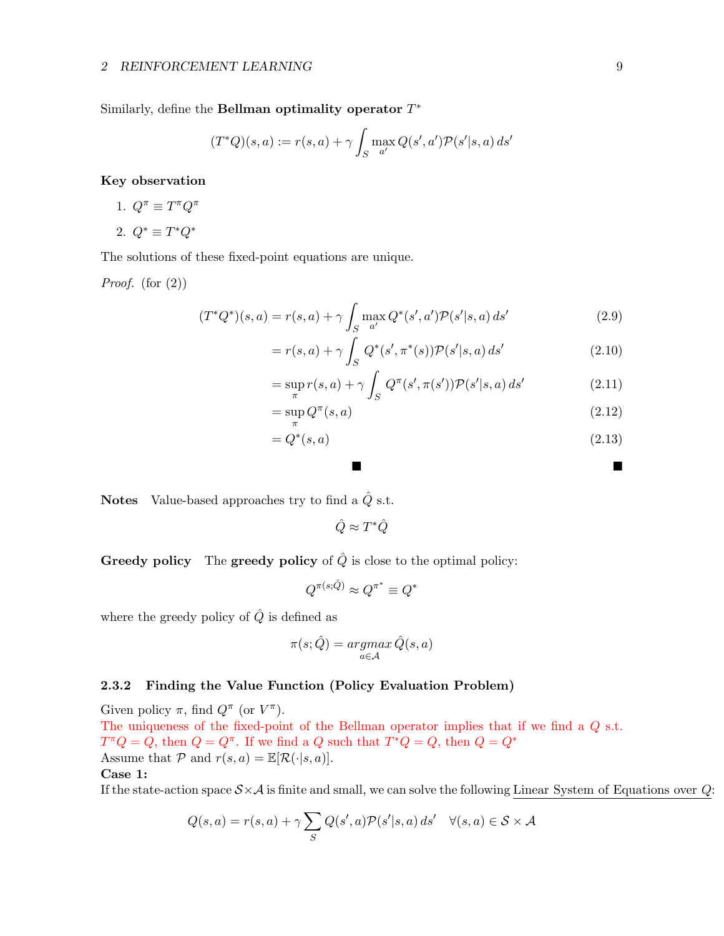Similarly, define the Bellman optimality operator  $T^*$ 

$$
(T^*Q)(s,a) := r(s,a) + \gamma \int_S \max_{a'} Q(s',a') \mathcal{P}(s'|s,a) \, ds'
$$

Key observation

- 1.  $Q^{\pi} \equiv T^{\pi} Q^{\pi}$
- 2.  $Q^* \equiv T^* Q^*$

The solutions of these fixed-point equations are unique.

*Proof.* (for  $(2)$ )

$$
(T^*Q^*)(s,a) = r(s,a) + \gamma \int_S \max_{a'} Q^*(s',a') \mathcal{P}(s'|s,a) \, ds' \tag{2.9}
$$

$$
= r(s,a) + \gamma \int_{S} Q^*(s', \pi^*(s)) \mathcal{P}(s'|s,a) \, ds' \tag{2.10}
$$

$$
= \sup_{\pi} r(s, a) + \gamma \int_{S} Q^{\pi}(s', \pi(s')) \mathcal{P}(s'|s, a) ds' \qquad (2.11)
$$

$$
=\sup_{\pi} Q^{\pi}(s, a) \tag{2.12}
$$

$$
=Q^*(s,a) \tag{2.13}
$$

and the contract of the contract of the contract of

**Notes** Value-based approaches try to find a  $\hat{Q}$  s.t.

 $\hat{Q} \approx T^*\hat{Q}$ 

**Greedy policy** The **greedy policy** of  $\hat{Q}$  is close to the optimal policy:

$$
Q^{\pi(s;\hat{Q})} \approx Q^{\pi^*} \equiv Q^*
$$

where the greedy policy of  $\hat{Q}$  is defined as

$$
\pi(s;\hat{Q}) = \operatornamewithlimits{argmax}_{a \in \mathcal{A}} \hat{Q}(s,a)
$$

### <span id="page-8-0"></span>2.3.2 Finding the Value Function (Policy Evaluation Problem)

Given policy  $\pi$ , find  $Q^{\pi}$  (or  $V^{\pi}$ ). The uniqueness of the fixed-point of the Bellman operator implies that if we find a  $Q$  s.t.  $T^{\pi}Q = Q$ , then  $Q = Q^{\pi}$ . If we find a Q such that  $T^*Q = Q$ , then  $Q = Q^*$ Assume that P and  $r(s, a) = \mathbb{E}[\mathcal{R}(\cdot|s, a)].$ Case 1:

If the state-action space  $S \times A$  is finite and small, we can solve the following Linear System of Equations over Q:

$$
Q(s, a) = r(s, a) + \gamma \sum_{S} Q(s', a) \mathcal{P}(s'|s, a) ds' \quad \forall (s, a) \in \mathcal{S} \times \mathcal{A}
$$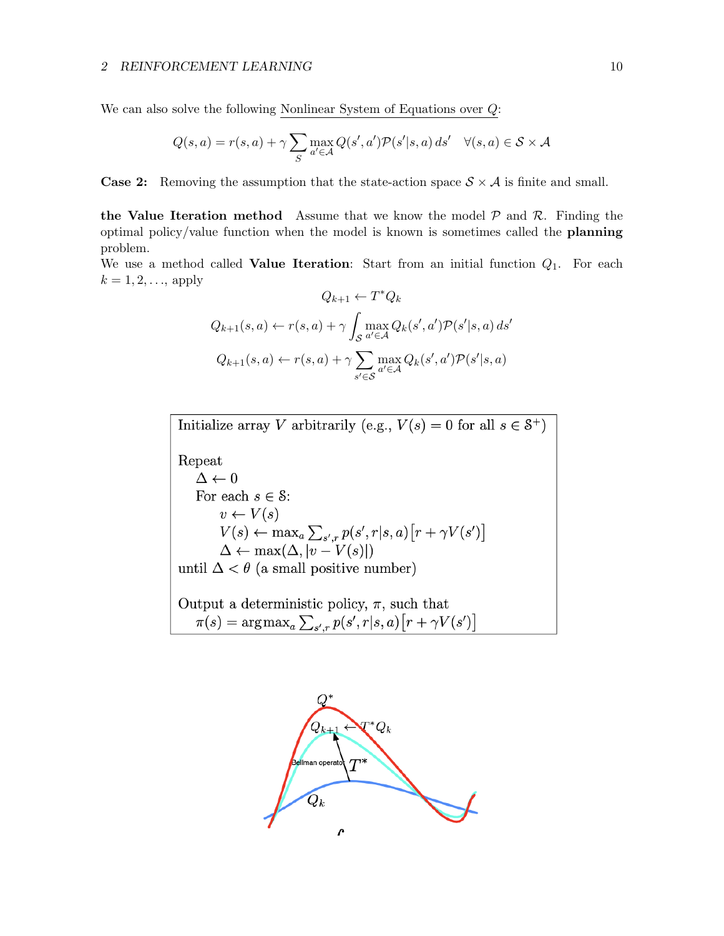We can also solve the following Nonlinear System of Equations over  $Q$ :

$$
Q(s, a) = r(s, a) + \gamma \sum_{S} \max_{a' \in \mathcal{A}} Q(s', a') \mathcal{P}(s'|s, a) ds' \quad \forall (s, a) \in \mathcal{S} \times \mathcal{A}
$$

**Case 2:** Removing the assumption that the state-action space  $S \times A$  is finite and small.

the Value Iteration method Assume that we know the model  $P$  and  $R$ . Finding the optimal policy/value function when the model is known is sometimes called the planning problem.

We use a method called **Value Iteration**: Start from an initial function  $Q_1$ . For each  $k = 1, 2, ...,$  apply

$$
Q_{k+1} \leftarrow T^* Q_k
$$
  

$$
Q_{k+1}(s, a) \leftarrow r(s, a) + \gamma \int_S \max_{a' \in \mathcal{A}} Q_k(s', a') \mathcal{P}(s'|s, a) ds'
$$
  

$$
Q_{k+1}(s, a) \leftarrow r(s, a) + \gamma \sum_{s' \in \mathcal{S}} \max_{a' \in \mathcal{A}} Q_k(s', a') \mathcal{P}(s'|s, a)
$$

Initialize array V arbitrarily (e.g.,  $V(s) = 0$  for all  $s \in \mathcal{S}^+$ ) Repeat  $\Delta \leftarrow 0$ For each  $s \in \mathcal{S}$ :  $v \leftarrow V(s)$  $V(s) \leftarrow \max_a \sum_{s',r} p(s',r|s,a) [r + \gamma V(s')]$ <br>  $\Delta \leftarrow \max(\Delta, |v - V(s)|)$ until  $\Delta < \theta$  (a small positive number)

Output a deterministic policy,  $\pi$ , such that  $\pi(s) = \arg \max\nolimits_{a} \sum\nolimits_{s',r} p(s',r|s,a) \bigl[ r + \gamma V(s') \bigr]$ 

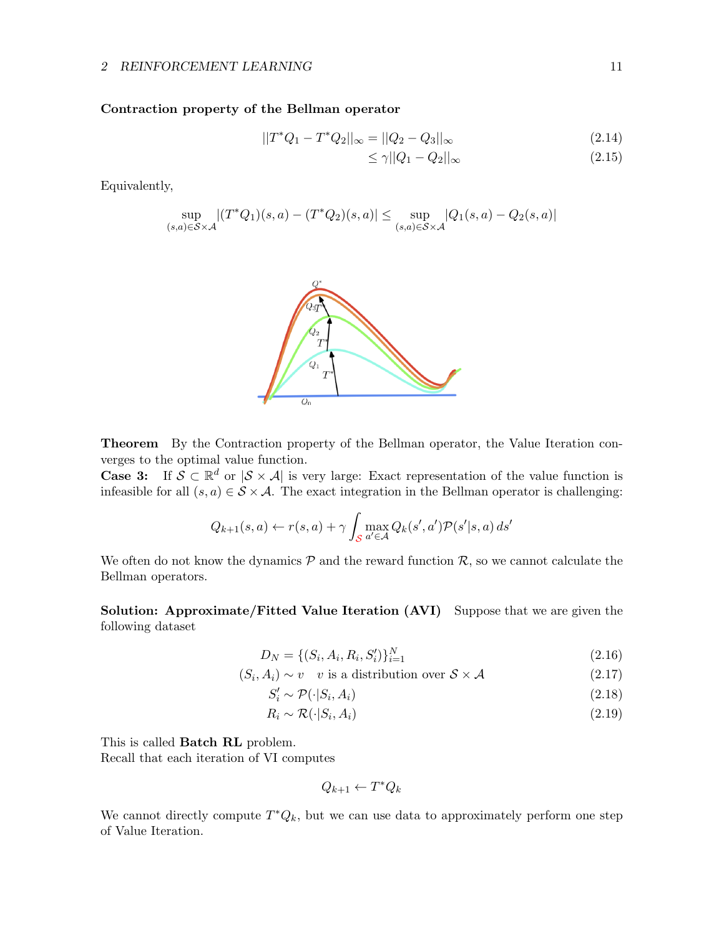### Contraction property of the Bellman operator

$$
||T^*Q_1 - T^*Q_2||_{\infty} = ||Q_2 - Q_3||_{\infty}
$$
\n(2.14)

$$
\leq \gamma ||Q_1 - Q_2||_{\infty} \tag{2.15}
$$

Equivalently,

$$
\sup_{(s,a)\in \mathcal{S}\times \mathcal{A}}|(T^*Q_1)(s,a)-(T^*Q_2)(s,a)|\leq \sup_{(s,a)\in \mathcal{S}\times \mathcal{A}}|Q_1(s,a)-Q_2(s,a)|
$$



Theorem By the Contraction property of the Bellman operator, the Value Iteration converges to the optimal value function.

**Case 3:** If  $\mathcal{S} \subset \mathbb{R}^d$  or  $|\mathcal{S} \times \mathcal{A}|$  is very large: Exact representation of the value function is infeasible for all  $(s, a) \in S \times A$ . The exact integration in the Bellman operator is challenging:

$$
Q_{k+1}(s,a) \leftarrow r(s,a) + \gamma \int_{\mathcal{S}} \max_{a' \in \mathcal{A}} Q_k(s',a') \mathcal{P}(s'|s,a) \, ds'
$$

We often do not know the dynamics  $P$  and the reward function  $R$ , so we cannot calculate the Bellman operators.

Solution: Approximate/Fitted Value Iteration (AVI) Suppose that we are given the following dataset

$$
D_N = \{ (S_i, A_i, R_i, S'_i) \}_{i=1}^N
$$
\n(2.16)

$$
(S_i, A_i) \sim v \quad v \text{ is a distribution over } \mathcal{S} \times \mathcal{A} \tag{2.17}
$$

$$
S_i' \sim \mathcal{P}(\cdot | S_i, A_i) \tag{2.18}
$$

$$
R_i \sim \mathcal{R}(\cdot | S_i, A_i) \tag{2.19}
$$

This is called Batch RL problem.

Recall that each iteration of VI computes

$$
Q_{k+1} \leftarrow T^*Q_k
$$

We cannot directly compute  $T^*Q_k$ , but we can use data to approximately perform one step of Value Iteration.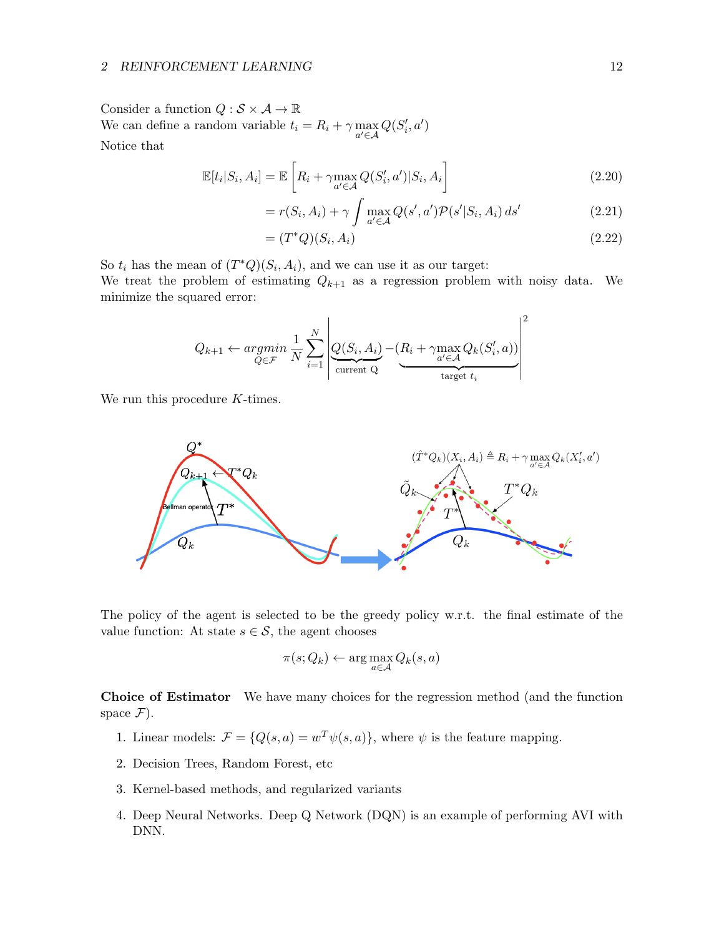### 2 REINFORCEMENT LEARNING 12

Consider a function  $Q : \mathcal{S} \times \mathcal{A} \to \mathbb{R}$ We can define a random variable  $t_i = R_i + \gamma \max_{a' \in \mathcal{A}} Q(S'_i, a')$ Notice that

$$
\mathbb{E}[t_i|S_i, A_i] = \mathbb{E}\left[R_i + \gamma \max_{a' \in \mathcal{A}} Q(S'_i, a')|S_i, A_i\right]
$$
\n(2.20)

$$
= r(S_i, A_i) + \gamma \int \max_{a' \in \mathcal{A}} Q(s', a') \mathcal{P}(s'|S_i, A_i) ds'
$$
 (2.21)

$$
= (T^*Q)(S_i, A_i) \tag{2.22}
$$

So  $t_i$  has the mean of  $(T^*Q)(S_i, A_i)$ , and we can use it as our target:

We treat the problem of estimating  $Q_{k+1}$  as a regression problem with noisy data. We minimize the squared error:

$$
Q_{k+1} \leftarrow argmin_{Q \in \mathcal{F}} \frac{1}{N} \sum_{i=1}^{N} \left| \underbrace{Q(S_i, A_i)}_{\text{current Q}} - (R_i + \gamma \max_{a' \in \mathcal{A}} Q_k(S'_i, a)) \right|^2
$$

We run this procedure K-times.



The policy of the agent is selected to be the greedy policy w.r.t. the final estimate of the value function: At state  $s \in \mathcal{S}$ , the agent chooses

$$
\pi(s; Q_k) \leftarrow \arg\max_{a \in \mathcal{A}} Q_k(s, a)
$$

Choice of Estimator We have many choices for the regression method (and the function space  $\mathcal{F}$ ).

- 1. Linear models:  $\mathcal{F} = \{Q(s, a) = w^T \psi(s, a)\}\,$ , where  $\psi$  is the feature mapping.
- 2. Decision Trees, Random Forest, etc
- 3. Kernel-based methods, and regularized variants
- 4. Deep Neural Networks. Deep Q Network (DQN) is an example of performing AVI with DNN.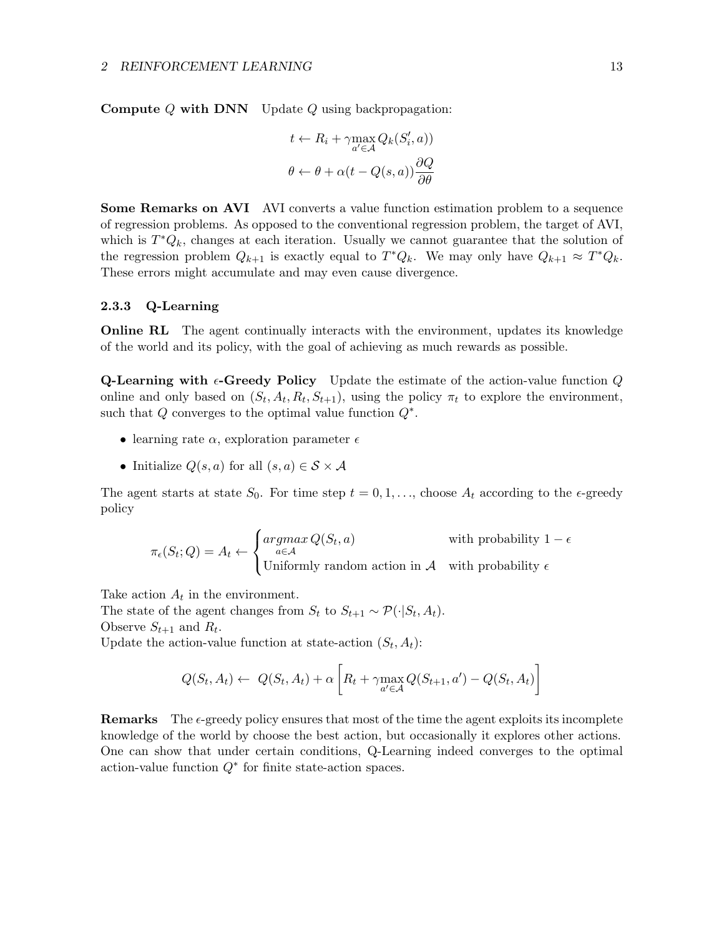**Compute Q with DNN** Update  $Q$  using backpropagation:

$$
t \leftarrow R_i + \gamma \max_{a' \in \mathcal{A}} Q_k(S'_i, a))
$$

$$
\theta \leftarrow \theta + \alpha(t - Q(s, a)) \frac{\partial Q}{\partial \theta}
$$

Some Remarks on AVI AVI converts a value function estimation problem to a sequence of regression problems. As opposed to the conventional regression problem, the target of AVI, which is  $T^*Q_k$ , changes at each iteration. Usually we cannot guarantee that the solution of the regression problem  $Q_{k+1}$  is exactly equal to  $T^*Q_k$ . We may only have  $Q_{k+1} \approx T^*Q_k$ . These errors might accumulate and may even cause divergence.

### <span id="page-12-0"></span>2.3.3 Q-Learning

**Online RL** The agent continually interacts with the environment, updates its knowledge of the world and its policy, with the goal of achieving as much rewards as possible.

**Q-Learning with**  $\epsilon$ **-Greedy Policy** Update the estimate of the action-value function Q online and only based on  $(S_t, A_t, R_t, S_{t+1})$ , using the policy  $\pi_t$  to explore the environment, such that  $Q$  converges to the optimal value function  $Q^*$ .

- learning rate  $\alpha$ , exploration parameter  $\epsilon$
- Initialize  $Q(s, a)$  for all  $(s, a) \in \mathcal{S} \times \mathcal{A}$

The agent starts at state  $S_0$ . For time step  $t = 0, 1, \ldots$ , choose  $A_t$  according to the  $\epsilon$ -greedy policy

$$
\pi_{\epsilon}(S_t; Q) = A_t \leftarrow \begin{cases} \operatorname*{argmax}_{a \in \mathcal{A}} Q(S_t, a) & \text{with probability } 1 - \epsilon \\ \text{Uniformly random action in } \mathcal{A} & \text{with probability } \epsilon \end{cases}
$$

Take action  $A_t$  in the environment.

The state of the agent changes from  $S_t$  to  $S_{t+1} \sim \mathcal{P}(\cdot | S_t, A_t)$ . Observe  $S_{t+1}$  and  $R_t$ .

Update the action-value function at state-action  $(S_t, A_t)$ :

$$
Q(S_t, A_t) \leftarrow Q(S_t, A_t) + \alpha \left[ R_t + \gamma \max_{a' \in \mathcal{A}} Q(S_{t+1}, a') - Q(S_t, A_t) \right]
$$

**Remarks** The  $\epsilon$ -greedy policy ensures that most of the time the agent exploits its incomplete knowledge of the world by choose the best action, but occasionally it explores other actions. One can show that under certain conditions, Q-Learning indeed converges to the optimal action-value function  $Q^*$  for finite state-action spaces.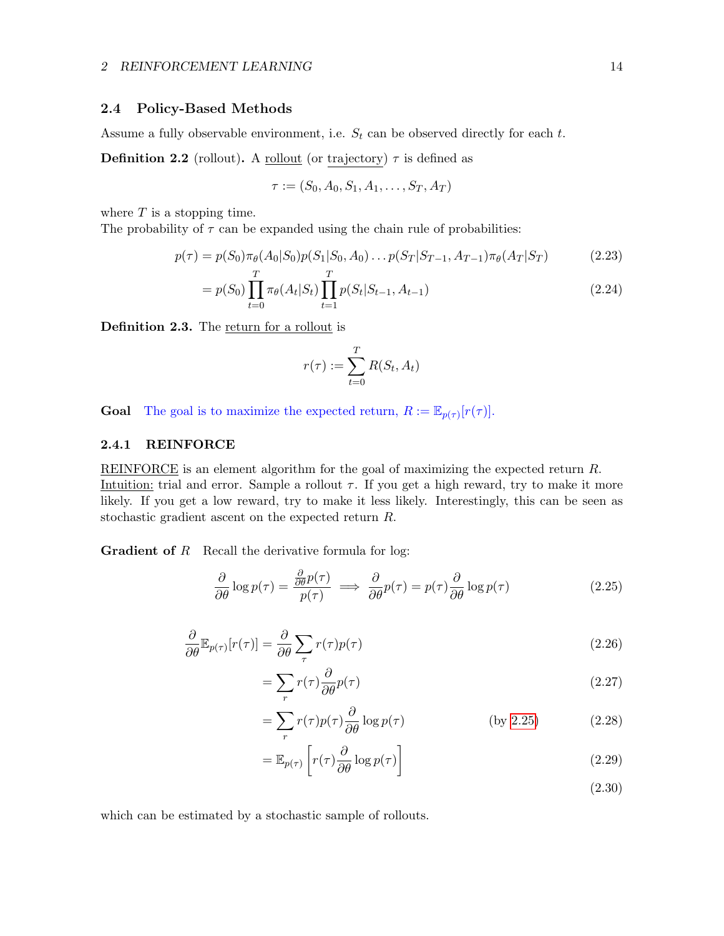### <span id="page-13-0"></span>2.4 Policy-Based Methods

Assume a fully observable environment, i.e.  $S_t$  can be observed directly for each  $t$ .

**Definition 2.2** (rollout). A <u>rollout</u> (or trajectory)  $\tau$  is defined as

$$
\tau := (S_0, A_0, S_1, A_1, \dots, S_T, A_T)
$$

where  $T$  is a stopping time.

The probability of  $\tau$  can be expanded using the chain rule of probabilities:

$$
p(\tau) = p(S_0)\pi_\theta(A_0|S_0)p(S_1|S_0, A_0)\dots p(S_T|S_{T-1}, A_{T-1})\pi_\theta(A_T|S_T)
$$
(2.23)

$$
= p(S_0) \prod_{t=0}^{T} \pi_{\theta}(A_t|S_t) \prod_{t=1}^{T} p(S_t|S_{t-1}, A_{t-1})
$$
\n(2.24)

Definition 2.3. The return for a rollout is

<span id="page-13-3"></span>
$$
r(\tau) := \sum_{t=0}^{T} R(S_t, A_t)
$$

**Goal** The goal is to maximize the expected return,  $R := \mathbb{E}_{p(\tau)}[r(\tau)].$ 

∂

### <span id="page-13-1"></span>2.4.1 REINFORCE

REINFORCE is an element algorithm for the goal of maximizing the expected return R. Intuition: trial and error. Sample a rollout  $\tau$ . If you get a high reward, try to make it more likely. If you get a low reward, try to make it less likely. Interestingly, this can be seen as stochastic gradient ascent on the expected return R.

**Gradient of R** Recall the derivative formula for log:

<span id="page-13-2"></span>
$$
\frac{\partial}{\partial \theta} \log p(\tau) = \frac{\frac{\partial}{\partial \theta} p(\tau)}{p(\tau)} \implies \frac{\partial}{\partial \theta} p(\tau) = p(\tau) \frac{\partial}{\partial \theta} \log p(\tau) \tag{2.25}
$$

$$
\frac{\partial}{\partial \theta} \mathbb{E}_{p(\tau)}[r(\tau)] = \frac{\partial}{\partial \theta} \sum_{\tau} r(\tau) p(\tau)
$$
\n(2.26)

$$
=\sum_{r}r(\tau)\frac{\partial}{\partial\theta}p(\tau)\tag{2.27}
$$

$$
= \sum_{r} r(\tau) p(\tau) \frac{\partial}{\partial \theta} \log p(\tau) \qquad \qquad \text{(by 2.25)} \tag{2.28}
$$

$$
= \mathbb{E}_{p(\tau)} \left[ r(\tau) \frac{\partial}{\partial \theta} \log p(\tau) \right]
$$
\n(2.29)

which can be estimated by a stochastic sample of rollouts.

(2.30)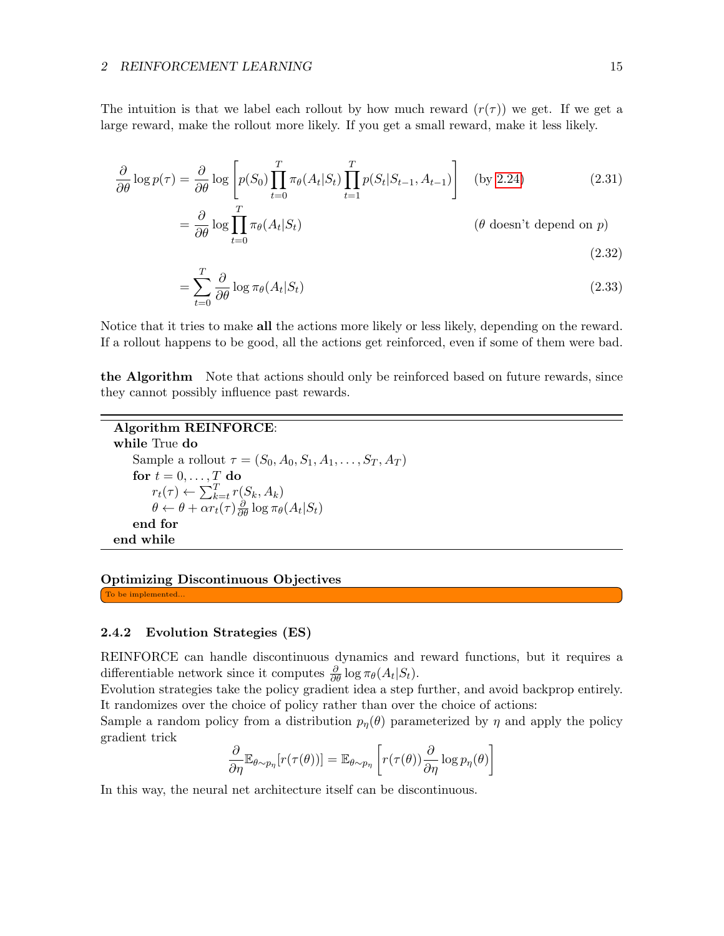#### 2 REINFORCEMENT LEARNING 15

The intuition is that we label each rollout by how much reward  $(r(\tau))$  we get. If we get a large reward, make the rollout more likely. If you get a small reward, make it less likely.

$$
\frac{\partial}{\partial \theta} \log p(\tau) = \frac{\partial}{\partial \theta} \log \left[ p(S_0) \prod_{t=0}^T \pi_\theta(A_t | S_t) \prod_{t=1}^T p(S_t | S_{t-1}, A_{t-1}) \right] \quad \text{(by 2.24)} \tag{2.31}
$$

$$
= \frac{\partial}{\partial \theta} \log \prod_{t=0}^{T} \pi_{\theta}(A_t|S_t)
$$
 ( $\theta$  doesn't depend on  $p$ ) (2.32)

$$
=\sum_{t=0}^{T} \frac{\partial}{\partial \theta} \log \pi_{\theta}(A_t|S_t)
$$
\n(2.33)

Notice that it tries to make all the actions more likely or less likely, depending on the reward. If a rollout happens to be good, all the actions get reinforced, even if some of them were bad.

the Algorithm Note that actions should only be reinforced based on future rewards, since they cannot possibly influence past rewards.

```
Algorithm REINFORCE:
while True do
     Sample a rollout \tau = (S_0, A_0, S_1, A_1, \ldots, S_T, A_T)for t = 0, \ldots, T do
           r_t(\tau) \leftarrow \sum_{k=t}^{T} r(S_k, A_k)\theta \leftarrow \theta + \alpha r_t(\tau) \frac{\partial}{\partial \theta} \log \pi_{\theta}(A_t|S_t)end for
end while
```
## Optimizing Discontinuous Objectives

To be implemented...

### <span id="page-14-0"></span>2.4.2 Evolution Strategies (ES)

REINFORCE can handle discontinuous dynamics and reward functions, but it requires a differentiable network since it computes  $\frac{\partial}{\partial \theta} \log \pi_{\theta}(A_t|S_t)$ .

Evolution strategies take the policy gradient idea a step further, and avoid backprop entirely. It randomizes over the choice of policy rather than over the choice of actions:

Sample a random policy from a distribution  $p_n(\theta)$  parameterized by  $\eta$  and apply the policy gradient trick

$$
\frac{\partial}{\partial \eta} \mathbb{E}_{\theta \sim p_{\eta}} [r(\tau(\theta))] = \mathbb{E}_{\theta \sim p_{\eta}} \left[ r(\tau(\theta)) \frac{\partial}{\partial \eta} \log p_{\eta}(\theta) \right]
$$

In this way, the neural net architecture itself can be discontinuous.